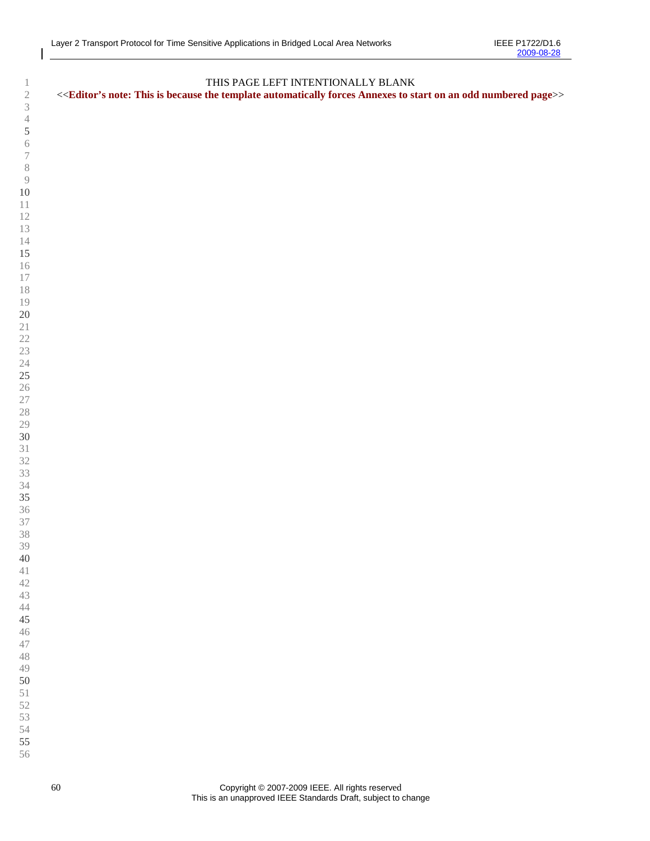| $\mathbf{1}$     | THIS PAGE LEFT INTENTIONALLY BLANK                                                                                                                                           |
|------------------|------------------------------------------------------------------------------------------------------------------------------------------------------------------------------|
| $\sqrt{2}$       | < <editor's an="" annexes="" automatically="" because="" forces="" is="" note:="" numbered="" odd="" on="" page="" start="" template="" the="" this="" to="">&gt;</editor's> |
| $\overline{3}$   |                                                                                                                                                                              |
| $\overline{4}$   |                                                                                                                                                                              |
| $\sqrt{5}$       |                                                                                                                                                                              |
| $\sqrt{6}$       |                                                                                                                                                                              |
| $\boldsymbol{7}$ |                                                                                                                                                                              |
|                  |                                                                                                                                                                              |
| $\,$ $\,$        |                                                                                                                                                                              |
| $\overline{9}$   |                                                                                                                                                                              |
| $10\,$           |                                                                                                                                                                              |
| $1\,1$           |                                                                                                                                                                              |
| 12               |                                                                                                                                                                              |
| 13               |                                                                                                                                                                              |
| 14               |                                                                                                                                                                              |
| 15               |                                                                                                                                                                              |
| 16               |                                                                                                                                                                              |
| 17               |                                                                                                                                                                              |
| 18               |                                                                                                                                                                              |
| 19               |                                                                                                                                                                              |
| $20\,$           |                                                                                                                                                                              |
| $2\sqrt{1}$      |                                                                                                                                                                              |
| $22\,$           |                                                                                                                                                                              |
| $23\,$           |                                                                                                                                                                              |
| 24               |                                                                                                                                                                              |
| $25\,$           |                                                                                                                                                                              |
| 26               |                                                                                                                                                                              |
| $27\,$           |                                                                                                                                                                              |
| 28               |                                                                                                                                                                              |
| 29               |                                                                                                                                                                              |
| 30               |                                                                                                                                                                              |
| 31               |                                                                                                                                                                              |
| 32               |                                                                                                                                                                              |
|                  |                                                                                                                                                                              |
| 33               |                                                                                                                                                                              |
| 34               |                                                                                                                                                                              |
| 35               |                                                                                                                                                                              |
| 36               |                                                                                                                                                                              |
| 37               |                                                                                                                                                                              |
| 38               |                                                                                                                                                                              |
| 39               |                                                                                                                                                                              |
| 40               |                                                                                                                                                                              |
| 41               |                                                                                                                                                                              |
| 42               |                                                                                                                                                                              |
| 43               |                                                                                                                                                                              |
| 44               |                                                                                                                                                                              |
| 45               |                                                                                                                                                                              |
| 46               |                                                                                                                                                                              |
| 47               |                                                                                                                                                                              |
| 48               |                                                                                                                                                                              |
| 49               |                                                                                                                                                                              |
| 50               |                                                                                                                                                                              |
| $5\sqrt{1}$      |                                                                                                                                                                              |
| 52               |                                                                                                                                                                              |
| 53               |                                                                                                                                                                              |
| 54               |                                                                                                                                                                              |
| 55               |                                                                                                                                                                              |
| 56               |                                                                                                                                                                              |
|                  |                                                                                                                                                                              |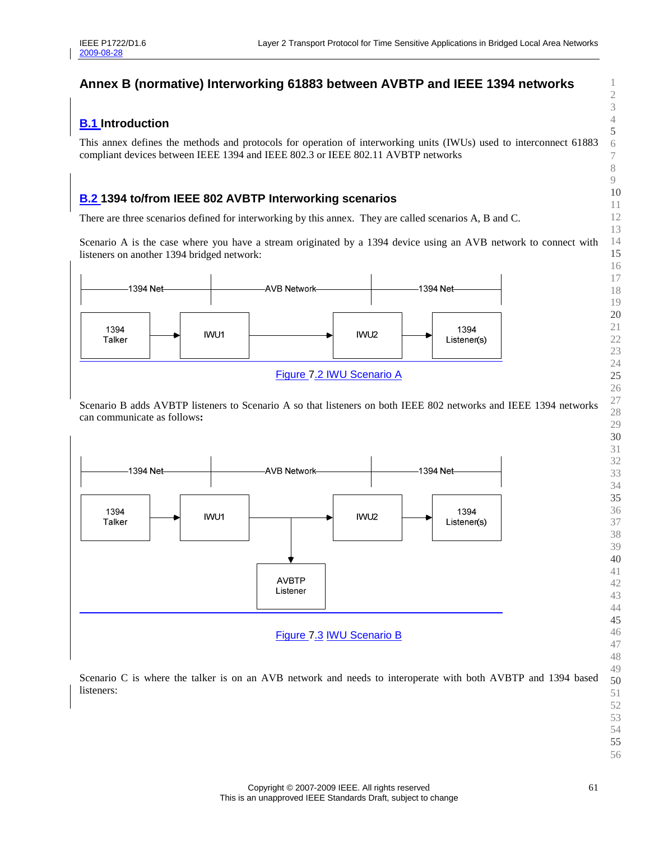# **Annex B (normative) Interworking 61883 between AVBTP and IEEE 1394 networks**

## **B.1 Introduction**

This annex defines the methods and protocols for operation of interworking units (IWUs) used to interconnect 61883 compliant devices between IEEE 1394 and IEEE 802.3 or IEEE 802.11 AVBTP networks

## **B.2 1394 to/from IEEE 802 AVBTP Interworking scenarios**

There are three scenarios defined for interworking by this annex. They are called scenarios A, B and C.

Scenario A is the case where you have a stream originated by a 1394 device using an AVB network to connect with listeners on another 1394 bridged network:



Scenario B adds AVBTP listeners to Scenario A so that listeners on both IEEE 802 networks and IEEE 1394 networks can communicate as follows**:** 



Scenario C is where the talker is on an AVB network and needs to interoperate with both AVBTP and 1394 based listeners: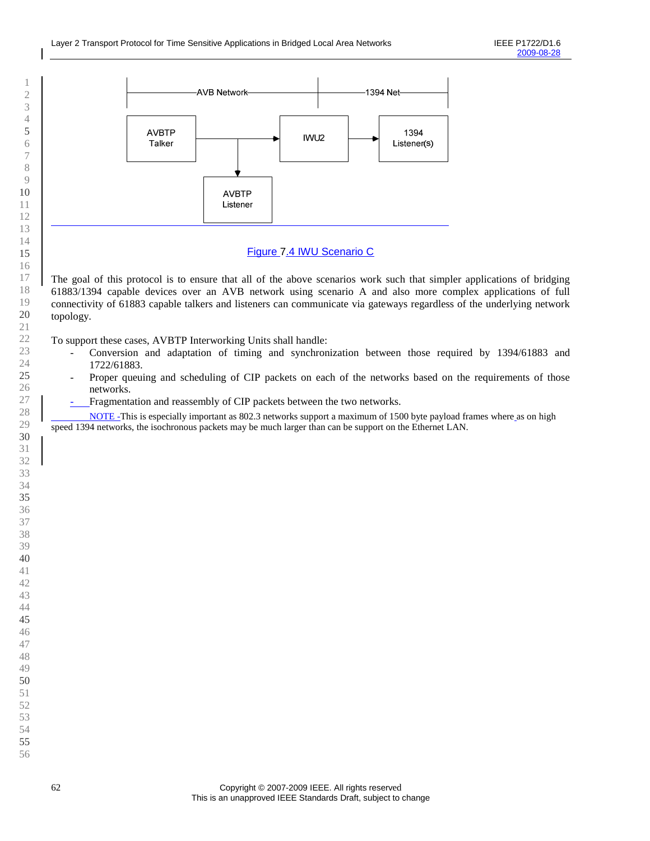

### Figure 7.4 IWU Scenario C

The goal of this protocol is to ensure that all of the above scenarios work such that simpler applications of bridging 61883/1394 capable devices over an AVB network using scenario A and also more complex applications of full connectivity of 61883 capable talkers and listeners can communicate via gateways regardless of the underlying network topology.

To support these cases, AVBTP Interworking Units shall handle:

- Conversion and adaptation of timing and synchronization between those required by 1394/61883 and 1722/61883.
- Proper queuing and scheduling of CIP packets on each of the networks based on the requirements of those networks.
- Fragmentation and reassembly of CIP packets between the two networks.

 NOTE -This is especially important as 802.3 networks support a maximum of 1500 byte payload frames where as on high speed 1394 networks, the isochronous packets may be much larger than can be support on the Ethernet LAN.

 $\overline{a}$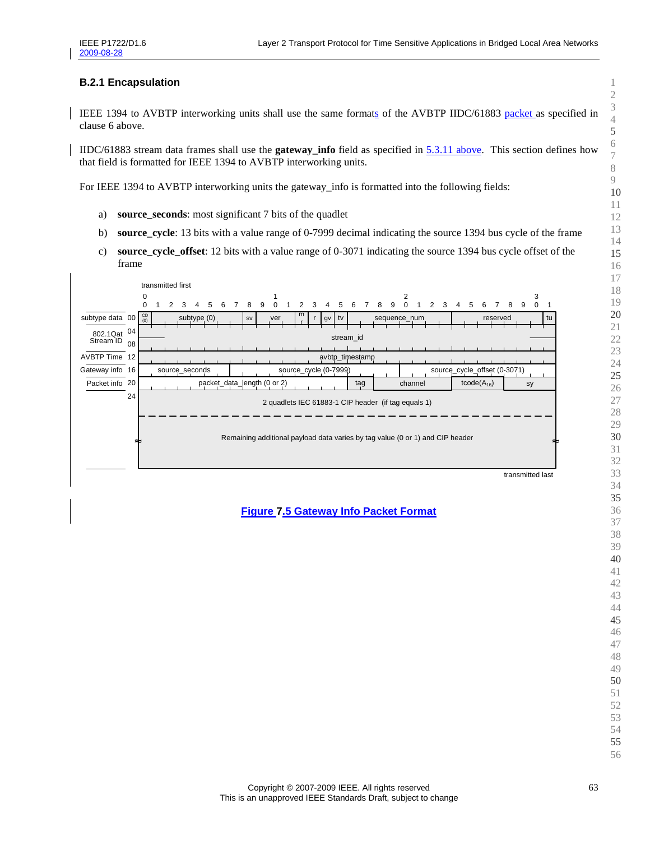#### **B.2.1 Encapsulation**

IEEE 1394 to AVBTP interworking units shall use the same formats of the AVBTP IIDC/61883 packet as specified in clause 6 above.

IIDC/61883 stream data frames shall use the **gateway\_info** field as specified in 5.3.11 above. This section defines how that field is formatted for IEEE 1394 to AVBTP interworking units.

For IEEE 1394 to AVBTP interworking units the gateway\_info is formatted into the following fields:

- a) **source\_seconds**: most significant 7 bits of the quadlet
- b) **source\_cycle**: 13 bits with a value range of 0-7999 decimal indicating the source 1394 bus cycle of the frame
- c) **source\_cycle\_offset**: 12 bits with a value range of 0-3071 indicating the source 1394 bus cycle offset of the frame



**Figure 7.5 Gateway Info Packet Format**